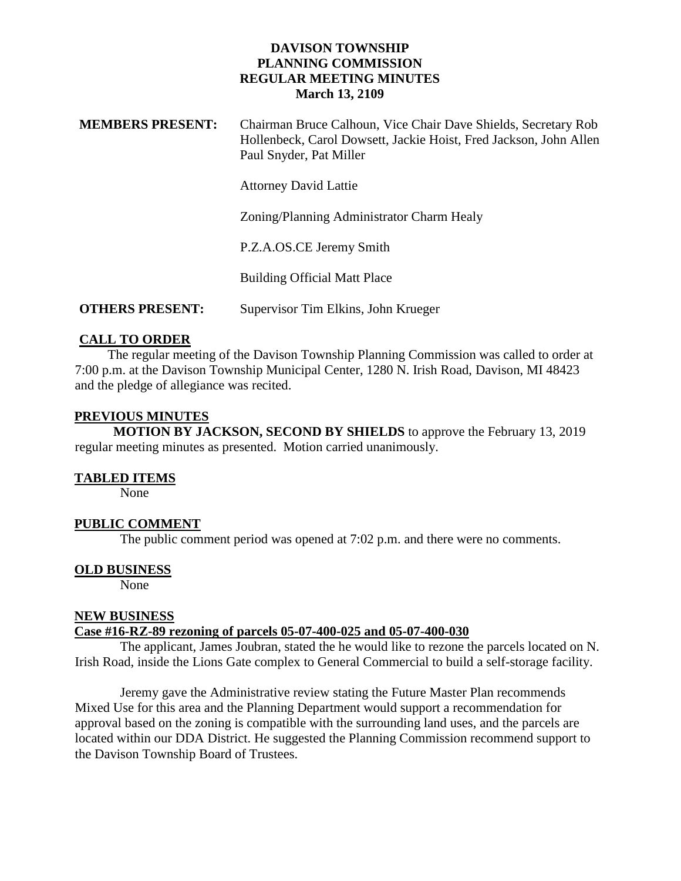# **DAVISON TOWNSHIP PLANNING COMMISSION REGULAR MEETING MINUTES March 13, 2109**

| <b>MEMBERS PRESENT:</b> | Chairman Bruce Calhoun, Vice Chair Dave Shields, Secretary Rob    |
|-------------------------|-------------------------------------------------------------------|
|                         | Hollenbeck, Carol Dowsett, Jackie Hoist, Fred Jackson, John Allen |
|                         | Paul Snyder, Pat Miller                                           |

Attorney David Lattie

Zoning/Planning Administrator Charm Healy

P.Z.A.OS.CE Jeremy Smith

Building Official Matt Place

**OTHERS PRESENT:** Supervisor Tim Elkins, John Krueger

## **CALL TO ORDER**

 The regular meeting of the Davison Township Planning Commission was called to order at 7:00 p.m. at the Davison Township Municipal Center, 1280 N. Irish Road, Davison, MI 48423 and the pledge of allegiance was recited.

### **PREVIOUS MINUTES**

 **MOTION BY JACKSON, SECOND BY SHIELDS** to approve the February 13, 2019 regular meeting minutes as presented. Motion carried unanimously.

#### **TABLED ITEMS**

None

## **PUBLIC COMMENT**

The public comment period was opened at 7:02 p.m. and there were no comments.

## **OLD BUSINESS**

None

#### **NEW BUSINESS**

#### **Case #16-RZ-89 rezoning of parcels 05-07-400-025 and 05-07-400-030**

The applicant, James Joubran, stated the he would like to rezone the parcels located on N. Irish Road, inside the Lions Gate complex to General Commercial to build a self-storage facility.

Jeremy gave the Administrative review stating the Future Master Plan recommends Mixed Use for this area and the Planning Department would support a recommendation for approval based on the zoning is compatible with the surrounding land uses, and the parcels are located within our DDA District. He suggested the Planning Commission recommend support to the Davison Township Board of Trustees.